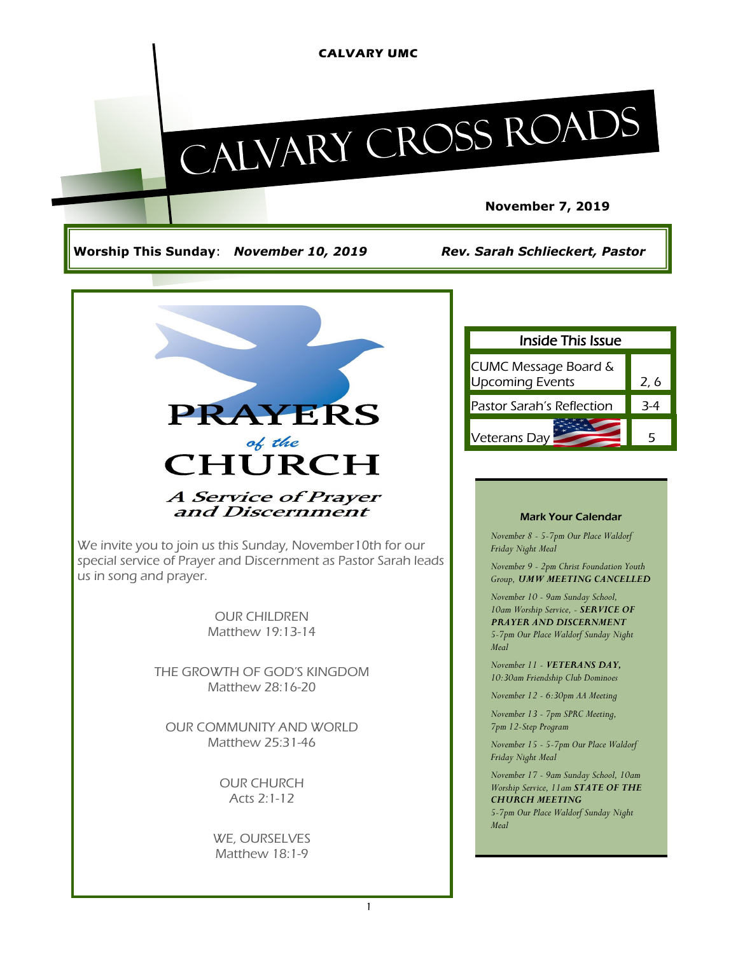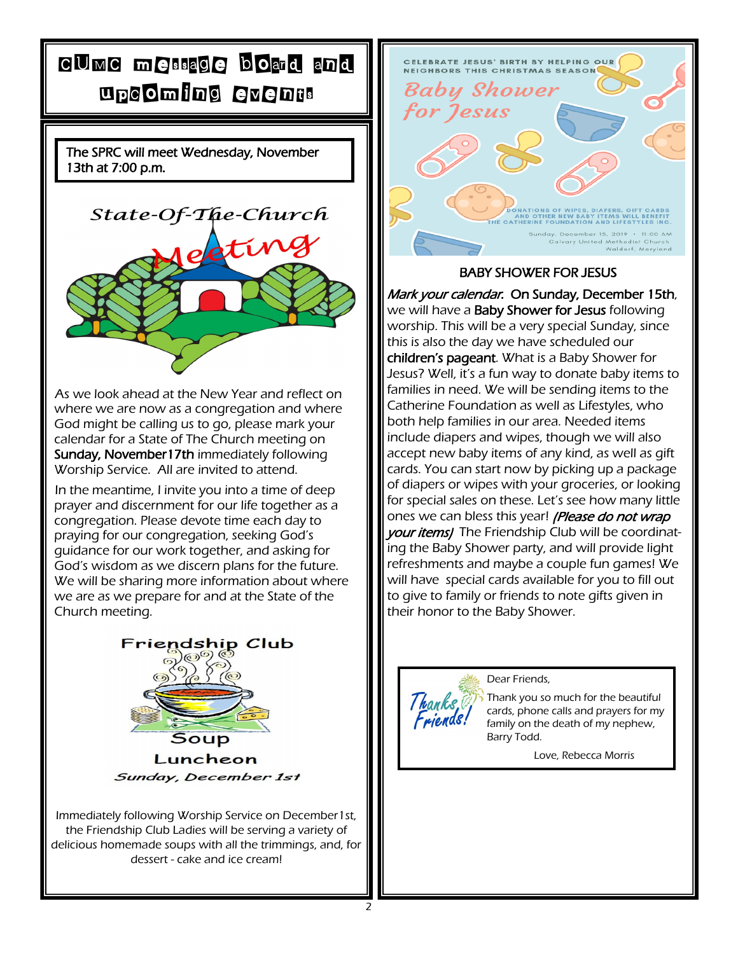## CUMC message board and upcoming events

The SPRC will meet Wednesday, November 13th at 7:00 p.m.



As we look ahead at the New Year and reflect on where we are now as a congregation and where God might be calling us to go, please mark your calendar for a State of The Church meeting on Sunday, November17th immediately following Worship Service. All are invited to attend.

In the meantime, I invite you into a time of deep prayer and discernment for our life together as a congregation. Please devote time each day to praying for our congregation, seeking God's guidance for our work together, and asking for God's wisdom as we discern plans for the future. We will be sharing more information about where we are as we prepare for and at the State of the Church meeting.



Immediately following Worship Service on December1st, the Friendship Club Ladies will be serving a variety of delicious homemade soups with all the trimmings, and, for dessert - cake and ice cream!



### BABY SHOWER FOR JESUS

Mark your calendar. On Sunday, December 15th, we will have a **Baby Shower for Jesus** following worship. This will be a very special Sunday, since this is also the day we have scheduled our children's pageant. What is a Baby Shower for Jesus? Well, it's a fun way to donate baby items to families in need. We will be sending items to the Catherine Foundation as well as Lifestyles, who both help families in our area. Needed items include diapers and wipes, though we will also accept new baby items of any kind, as well as gift cards. You can start now by picking up a package of diapers or wipes with your groceries, or looking for special sales on these. Let's see how many little ones we can bless this year! *(Please do not wrap* your items) The Friendship Club will be coordinating the Baby Shower party, and will provide light refreshments and maybe a couple fun games! We will have special cards available for you to fill out to give to family or friends to note gifts given in their honor to the Baby Shower.



Dear Friends,

Thank you so much for the beautiful cards, phone calls and prayers for my family on the death of my nephew, Barry Todd.

Love, Rebecca Morris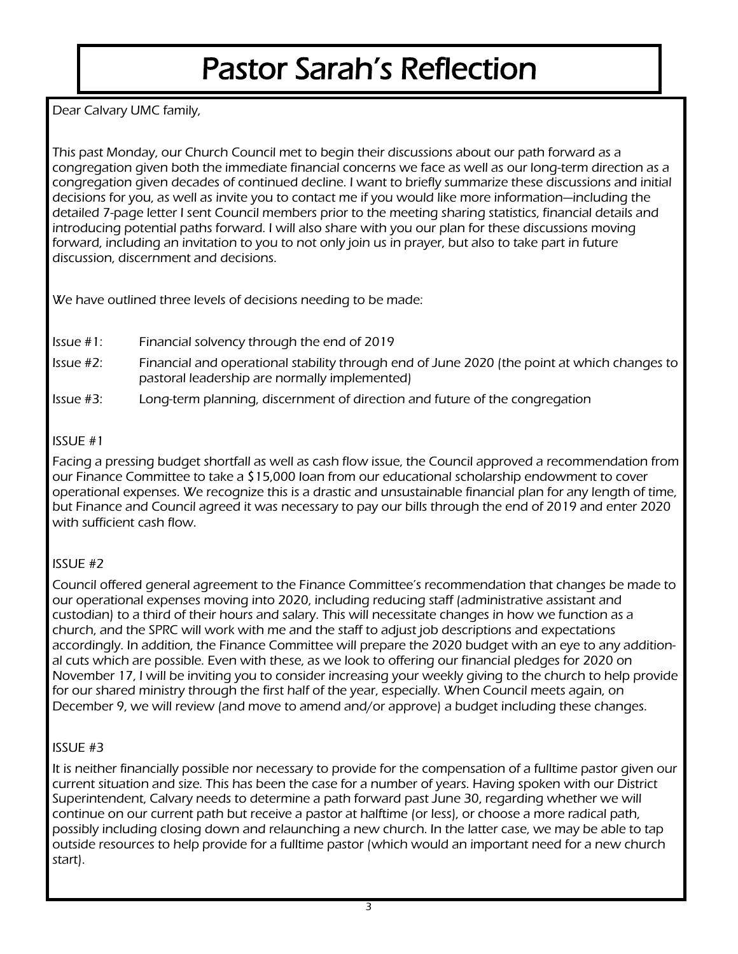# Pastor Sarah's Reflection

Dear Calvary UMC family,

This past Monday, our Church Council met to begin their discussions about our path forward as a congregation given both the immediate financial concerns we face as well as our long-term direction as a congregation given decades of continued decline. I want to briefly summarize these discussions and initial decisions for you, as well as invite you to contact me if you would like more information—including the detailed 7-page letter I sent Council members prior to the meeting sharing statistics, financial details and introducing potential paths forward. I will also share with you our plan for these discussions moving forward, including an invitation to you to not only join us in prayer, but also to take part in future discussion, discernment and decisions.

We have outlined three levels of decisions needing to be made:

- Issue #1: Financial solvency through the end of 2019
- Issue #2: Financial and operational stability through end of June 2020 (the point at which changes to pastoral leadership are normally implemented)
- Issue #3: Long-term planning, discernment of direction and future of the congregation

### ISSUE #1

Facing a pressing budget shortfall as well as cash flow issue, the Council approved a recommendation from our Finance Committee to take a \$15,000 loan from our educational scholarship endowment to cover operational expenses. We recognize this is a drastic and unsustainable financial plan for any length of time, but Finance and Council agreed it was necessary to pay our bills through the end of 2019 and enter 2020 with sufficient cash flow.

## ISSUE #2

Council offered general agreement to the Finance Committee's recommendation that changes be made to our operational expenses moving into 2020, including reducing staff (administrative assistant and custodian) to a third of their hours and salary. This will necessitate changes in how we function as a church, and the SPRC will work with me and the staff to adjust job descriptions and expectations accordingly. In addition, the Finance Committee will prepare the 2020 budget with an eye to any additional cuts which are possible. Even with these, as we look to offering our financial pledges for 2020 on November 17, I will be inviting you to consider increasing your weekly giving to the church to help provide for our shared ministry through the first half of the year, especially. When Council meets again, on December 9, we will review (and move to amend and/or approve) a budget including these changes.

### ISSUE #3

It is neither financially possible nor necessary to provide for the compensation of a fulltime pastor given our current situation and size. This has been the case for a number of years. Having spoken with our District Superintendent, Calvary needs to determine a path forward past June 30, regarding whether we will continue on our current path but receive a pastor at halftime (or less), or choose a more radical path, possibly including closing down and relaunching a new church. In the latter case, we may be able to tap outside resources to help provide for a fulltime pastor (which would an important need for a new church start).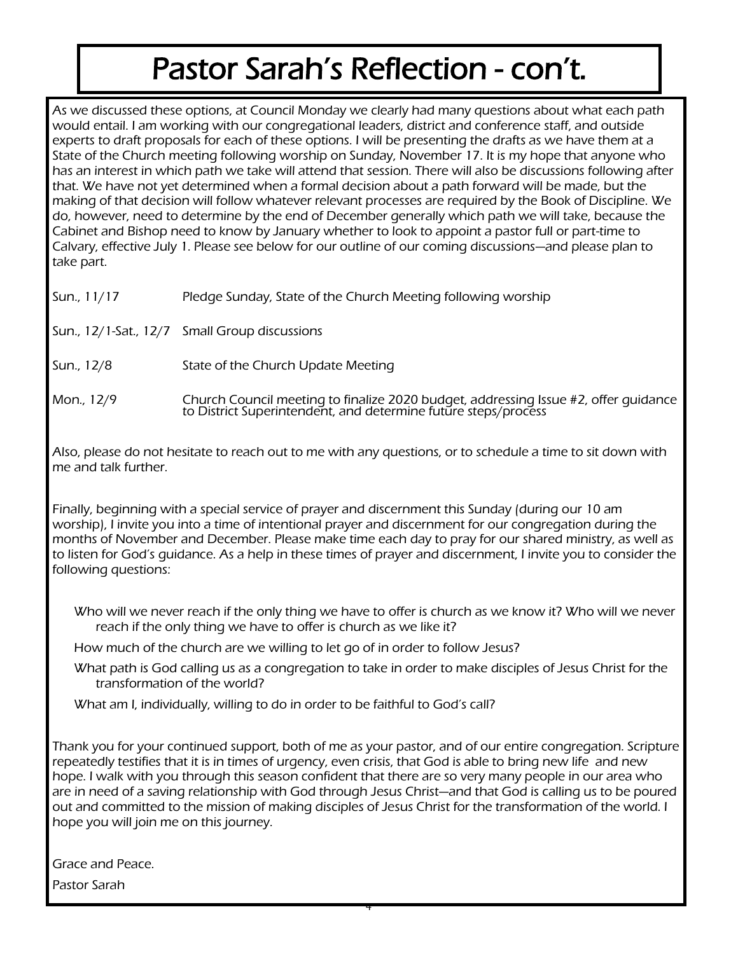# Pastor Sarah's Reflection - con't.

As we discussed these options, at Council Monday we clearly had many questions about what each path would entail. I am working with our congregational leaders, district and conference staff, and outside experts to draft proposals for each of these options. I will be presenting the drafts as we have them at a State of the Church meeting following worship on Sunday, November 17. It is my hope that anyone who has an interest in which path we take will attend that session. There will also be discussions following after that. We have not yet determined when a formal decision about a path forward will be made, but the making of that decision will follow whatever relevant processes are required by the Book of Discipline. We do, however, need to determine by the end of December generally which path we will take, because the Cabinet and Bishop need to know by January whether to look to appoint a pastor full or part-time to Calvary, effective July 1. Please see below for our outline of our coming discussions—and please plan to take part.

Sun., 11/17 Pledge Sunday, State of the Church Meeting following worship

Sun., 12/1-Sat., 12/7 Small Group discussions

- Sun., 12/8 State of the Church Update Meeting
- Mon., 12/9 Church Council meeting to finalize 2020 budget, addressing Issue #2, offer guidance to District Superintendent, and determine future steps/process

Also, please do not hesitate to reach out to me with any questions, or to schedule a time to sit down with me and talk further.

Finally, beginning with a special service of prayer and discernment this Sunday (during our 10 am worship), I invite you into a time of intentional prayer and discernment for our congregation during the months of November and December. Please make time each day to pray for our shared ministry, as well as to listen for God's guidance. As a help in these times of prayer and discernment, I invite you to consider the following questions:

Who will we never reach if the only thing we have to offer is church as we know it? Who will we never reach if the only thing we have to offer is church as we like it?

How much of the church are we willing to let go of in order to follow Jesus?

What path is God calling us as a congregation to take in order to make disciples of Jesus Christ for the transformation of the world?

What am I, individually, willing to do in order to be faithful to God's call?

Thank you for your continued support, both of me as your pastor, and of our entire congregation. Scripture repeatedly testifies that it is in times of urgency, even crisis, that God is able to bring new life and new hope. I walk with you through this season confident that there are so very many people in our area who are in need of a saving relationship with God through Jesus Christ—and that God is calling us to be poured out and committed to the mission of making disciples of Jesus Christ for the transformation of the world. I hope you will join me on this journey.

Grace and Peace.

Pastor Sarah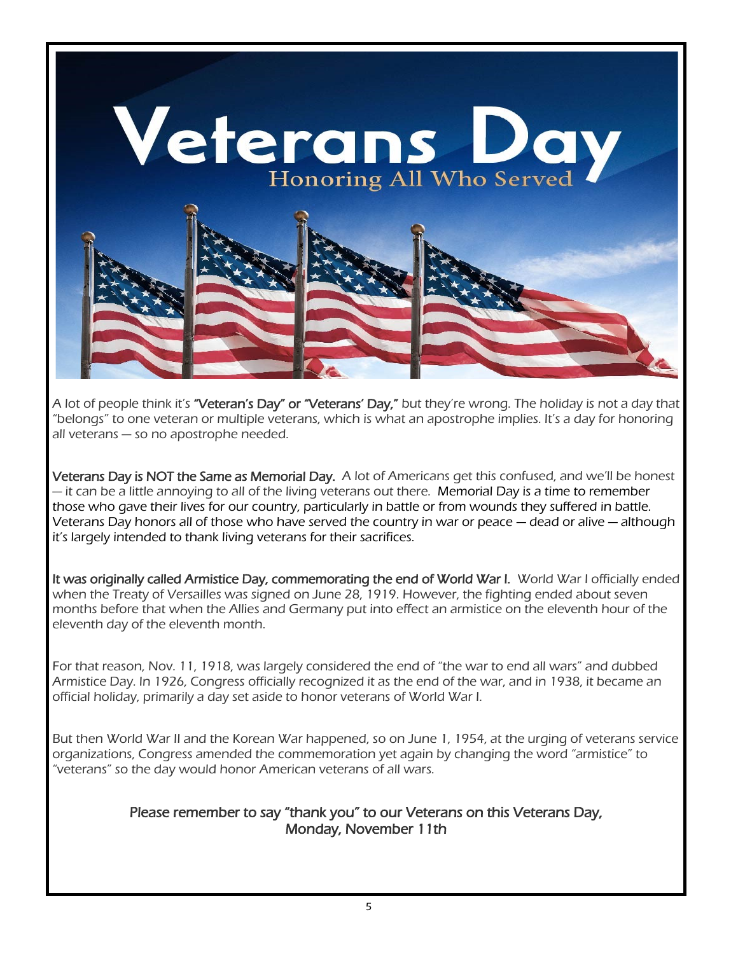

A lot of people think it's **"Veteran's Day" or "Veterans' Day,"** but they're wrong. The holiday is not a day that "belongs" to one veteran or multiple veterans, which is what an apostrophe implies. It's a day for honoring all veterans — so no apostrophe needed.

Veterans Day is NOT the Same as Memorial Day. A lot of Americans get this confused, and we'll be honest — it can be a little annoying to all of the living veterans out there. Memorial Day is a time to remember those who gave their lives for our country, particularly in battle or from wounds they suffered in battle. Veterans Day honors all of those who have served the country in war or peace — dead or alive — although it's largely intended to thank living veterans for their sacrifices.

It was originally called Armistice Day, commemorating the end of World War I. World War I officially ended when the Treaty of Versailles was signed on June 28, 1919. However, the fighting ended about seven months before that when the Allies and Germany put into effect an armistice on the eleventh hour of the eleventh day of the eleventh month.

For that reason, Nov. 11, 1918, was largely considered the end of "the war to end all wars" and dubbed Armistice Day. In 1926, Congress officially recognized it as the end of the war, and in 1938, it became an official holiday, primarily a day set aside to honor veterans of World War I.

But then World War II and the Korean War happened, so on June 1, 1954, at the urging of veterans service organizations, Congress amended the commemoration yet again by changing the word "armistice" to "veterans" so the day would honor American veterans of all wars.

### Please remember to say "thank you" to our Veterans on this Veterans Day, Monday, November 11th